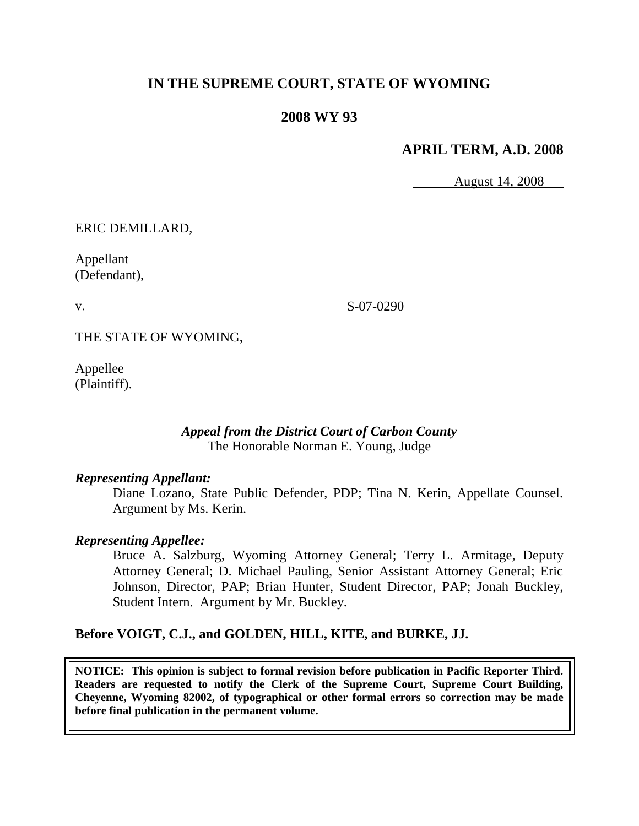# **IN THE SUPREME COURT, STATE OF WYOMING**

# **2008 WY 93**

# **APRIL TERM, A.D. 2008**

August 14, 2008

ERIC DEMILLARD,

Appellant (Defendant),

v.

S-07-0290

THE STATE OF WYOMING,

Appellee (Plaintiff).

> *Appeal from the District Court of Carbon County* The Honorable Norman E. Young, Judge

### *Representing Appellant:*

Diane Lozano, State Public Defender, PDP; Tina N. Kerin, Appellate Counsel. Argument by Ms. Kerin.

### *Representing Appellee:*

Bruce A. Salzburg, Wyoming Attorney General; Terry L. Armitage, Deputy Attorney General; D. Michael Pauling, Senior Assistant Attorney General; Eric Johnson, Director, PAP; Brian Hunter, Student Director, PAP; Jonah Buckley, Student Intern. Argument by Mr. Buckley.

### **Before VOIGT, C.J., and GOLDEN, HILL, KITE, and BURKE, JJ.**

**NOTICE: This opinion is subject to formal revision before publication in Pacific Reporter Third. Readers are requested to notify the Clerk of the Supreme Court, Supreme Court Building, Cheyenne, Wyoming 82002, of typographical or other formal errors so correction may be made before final publication in the permanent volume.**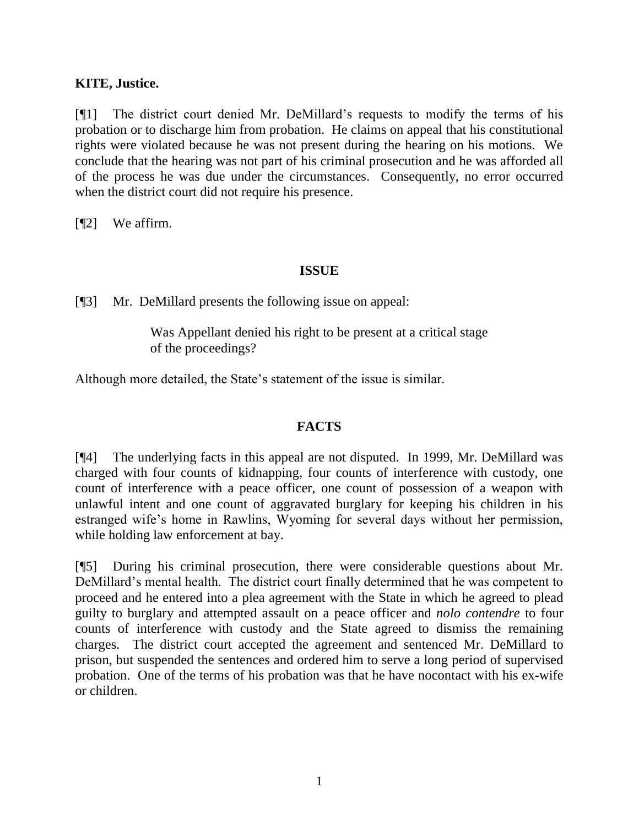## **KITE, Justice.**

[¶1] The district court denied Mr. DeMillard"s requests to modify the terms of his probation or to discharge him from probation. He claims on appeal that his constitutional rights were violated because he was not present during the hearing on his motions. We conclude that the hearing was not part of his criminal prosecution and he was afforded all of the process he was due under the circumstances. Consequently, no error occurred when the district court did not require his presence.

[¶2] We affirm.

## **ISSUE**

[¶3] Mr. DeMillard presents the following issue on appeal:

Was Appellant denied his right to be present at a critical stage of the proceedings?

Although more detailed, the State's statement of the issue is similar.

## **FACTS**

[¶4] The underlying facts in this appeal are not disputed. In 1999, Mr. DeMillard was charged with four counts of kidnapping, four counts of interference with custody, one count of interference with a peace officer, one count of possession of a weapon with unlawful intent and one count of aggravated burglary for keeping his children in his estranged wife's home in Rawlins, Wyoming for several days without her permission, while holding law enforcement at bay.

[¶5] During his criminal prosecution, there were considerable questions about Mr. DeMillard"s mental health. The district court finally determined that he was competent to proceed and he entered into a plea agreement with the State in which he agreed to plead guilty to burglary and attempted assault on a peace officer and *nolo contendre* to four counts of interference with custody and the State agreed to dismiss the remaining charges. The district court accepted the agreement and sentenced Mr. DeMillard to prison, but suspended the sentences and ordered him to serve a long period of supervised probation. One of the terms of his probation was that he have nocontact with his ex-wife or children.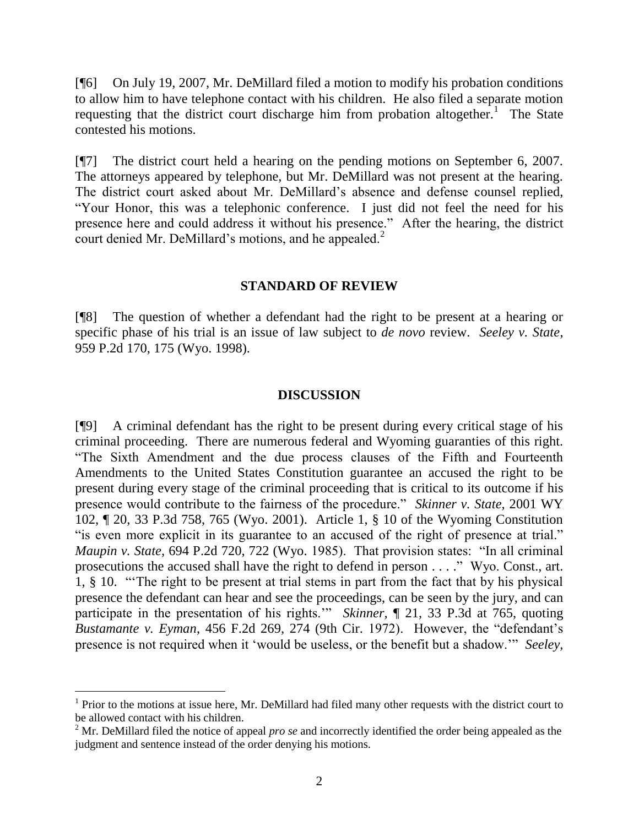[¶6] On July 19, 2007, Mr. DeMillard filed a motion to modify his probation conditions to allow him to have telephone contact with his children. He also filed a separate motion requesting that the district court discharge him from probation altogether.<sup>1</sup> The State contested his motions.

[¶7] The district court held a hearing on the pending motions on September 6, 2007. The attorneys appeared by telephone, but Mr. DeMillard was not present at the hearing. The district court asked about Mr. DeMillard"s absence and defense counsel replied, "Your Honor, this was a telephonic conference. I just did not feel the need for his presence here and could address it without his presence." After the hearing, the district court denied Mr. DeMillard's motions, and he appealed. $2^2$ 

#### **STANDARD OF REVIEW**

[¶8] The question of whether a defendant had the right to be present at a hearing or specific phase of his trial is an issue of law subject to *de novo* review. *Seeley v. State*, 959 P.2d 170, 175 (Wyo. 1998).

#### **DISCUSSION**

[¶9] A criminal defendant has the right to be present during every critical stage of his criminal proceeding. There are numerous federal and Wyoming guaranties of this right. "The Sixth Amendment and the due process clauses of the Fifth and Fourteenth Amendments to the United States Constitution guarantee an accused the right to be present during every stage of the criminal proceeding that is critical to its outcome if his presence would contribute to the fairness of the procedure." *Skinner v. State,* 2001 WY 102, ¶ 20, 33 P.3d 758, 765 (Wyo. 2001). Article 1, § 10 of the Wyoming Constitution "is even more explicit in its guarantee to an accused of the right of presence at trial." *Maupin v. State*, 694 P.2d 720, 722 (Wyo. 1985). That provision states: "In all criminal prosecutions the accused shall have the right to defend in person . . . ." Wyo. Const., art. 1, § 10. ""The right to be present at trial stems in part from the fact that by his physical presence the defendant can hear and see the proceedings, can be seen by the jury, and can participate in the presentation of his rights."" *Skinner*, ¶ 21, 33 P.3d at 765, quoting *Bustamante v. Eyman*, 456 F.2d 269, 274 (9th Cir. 1972). However, the "defendant"s presence is not required when it "would be useless, or the benefit but a shadow."" *Seeley,* 

 $\overline{a}$ 

<sup>&</sup>lt;sup>1</sup> Prior to the motions at issue here, Mr. DeMillard had filed many other requests with the district court to be allowed contact with his children.

<sup>2</sup> Mr. DeMillard filed the notice of appeal *pro se* and incorrectly identified the order being appealed as the judgment and sentence instead of the order denying his motions.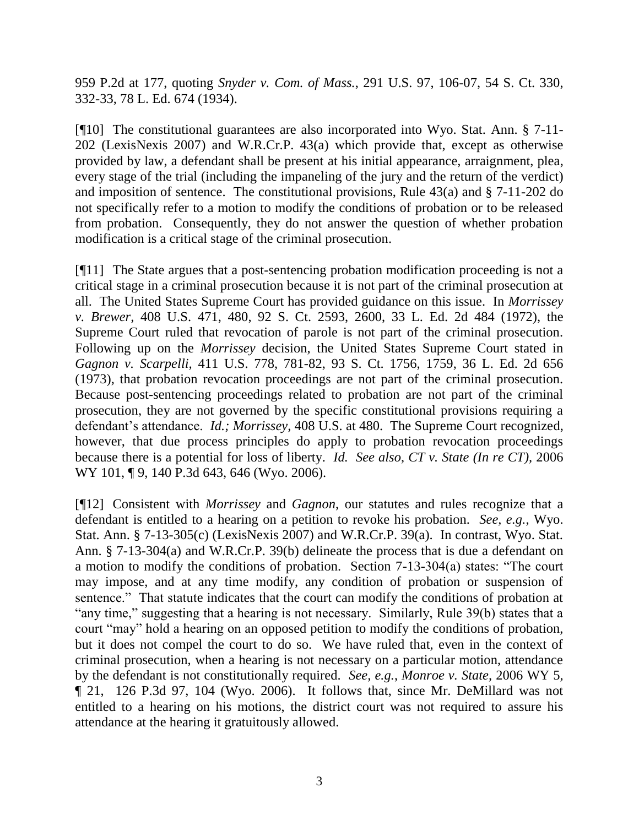959 P.2d at 177, quoting *Snyder v. Com. of Mass.*, 291 U.S. 97, 106-07, 54 S. Ct. 330, 332-33, 78 L. Ed. 674 (1934).

[¶10] The constitutional guarantees are also incorporated into Wyo. Stat. Ann. § 7-11- 202 (LexisNexis 2007) and W.R.Cr.P. 43(a) which provide that, except as otherwise provided by law, a defendant shall be present at his initial appearance, arraignment, plea, every stage of the trial (including the impaneling of the jury and the return of the verdict) and imposition of sentence. The constitutional provisions, Rule  $43(a)$  and  $\S$  7-11-202 do not specifically refer to a motion to modify the conditions of probation or to be released from probation. Consequently, they do not answer the question of whether probation modification is a critical stage of the criminal prosecution.

[¶11] The State argues that a post-sentencing probation modification proceeding is not a critical stage in a criminal prosecution because it is not part of the criminal prosecution at all. The United States Supreme Court has provided guidance on this issue. In *Morrissey v. Brewer,* 408 U.S. 471, 480, 92 S. Ct. 2593, 2600, 33 L. Ed. 2d 484 (1972), the Supreme Court ruled that revocation of parole is not part of the criminal prosecution. Following up on the *Morrissey* decision, the United States Supreme Court stated in *Gagnon v. Scarpelli,* 411 U.S. 778, 781-82, 93 S. Ct. 1756, 1759, 36 L. Ed. 2d 656 (1973), that probation revocation proceedings are not part of the criminal prosecution. Because post-sentencing proceedings related to probation are not part of the criminal prosecution, they are not governed by the specific constitutional provisions requiring a defendant's attendance. *Id.; Morrissey*, 408 U.S. at 480. The Supreme Court recognized, however, that due process principles do apply to probation revocation proceedings because there is a potential for loss of liberty. *Id. See also*, *CT v. State (In re CT),* 2006 WY 101, 19, 140 P.3d 643, 646 (Wyo. 2006).

[¶12] Consistent with *Morrissey* and *Gagnon*, our statutes and rules recognize that a defendant is entitled to a hearing on a petition to revoke his probation. *See, e.g.*, Wyo. Stat. Ann. § 7-13-305(c) (LexisNexis 2007) and W.R.Cr.P. 39(a). In contrast, Wyo. Stat. Ann. § 7-13-304(a) and W.R.Cr.P. 39(b) delineate the process that is due a defendant on a motion to modify the conditions of probation. Section 7-13-304(a) states: "The court may impose, and at any time modify, any condition of probation or suspension of sentence." That statute indicates that the court can modify the conditions of probation at "any time," suggesting that a hearing is not necessary. Similarly, Rule 39(b) states that a court "may" hold a hearing on an opposed petition to modify the conditions of probation, but it does not compel the court to do so. We have ruled that, even in the context of criminal prosecution, when a hearing is not necessary on a particular motion, attendance by the defendant is not constitutionally required. *See, e.g.*, *Monroe v. State,* 2006 WY 5, ¶ 21, 126 P.3d 97, 104 (Wyo. 2006). It follows that, since Mr. DeMillard was not entitled to a hearing on his motions, the district court was not required to assure his attendance at the hearing it gratuitously allowed.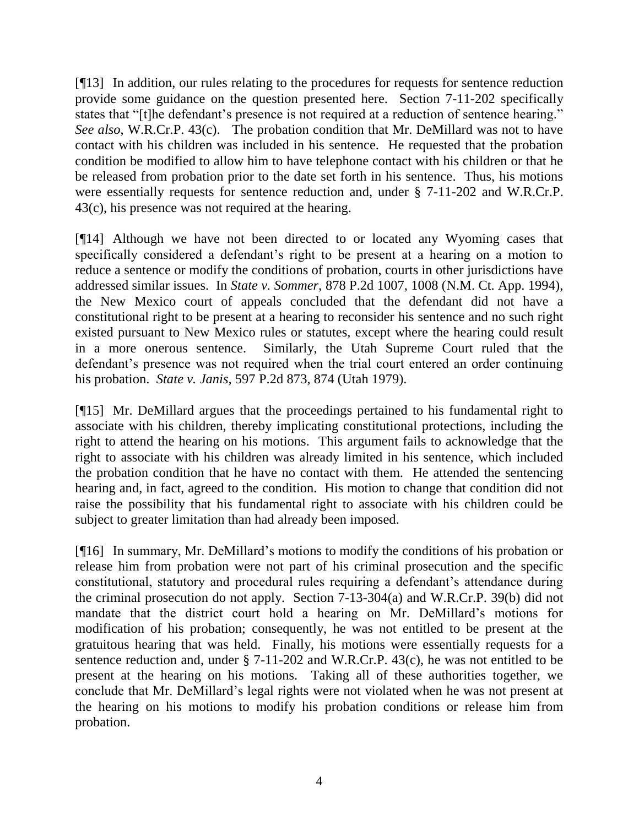[¶13] In addition, our rules relating to the procedures for requests for sentence reduction provide some guidance on the question presented here. Section 7-11-202 specifically states that "[t]he defendant's presence is not required at a reduction of sentence hearing." *See also*, W.R.Cr.P. 43(c). The probation condition that Mr. DeMillard was not to have contact with his children was included in his sentence. He requested that the probation condition be modified to allow him to have telephone contact with his children or that he be released from probation prior to the date set forth in his sentence. Thus, his motions were essentially requests for sentence reduction and, under § 7-11-202 and W.R.Cr.P. 43(c), his presence was not required at the hearing.

[¶14] Although we have not been directed to or located any Wyoming cases that specifically considered a defendant's right to be present at a hearing on a motion to reduce a sentence or modify the conditions of probation, courts in other jurisdictions have addressed similar issues. In *State v. Sommer,* 878 P.2d 1007, 1008 (N.M. Ct. App. 1994), the New Mexico court of appeals concluded that the defendant did not have a constitutional right to be present at a hearing to reconsider his sentence and no such right existed pursuant to New Mexico rules or statutes, except where the hearing could result in a more onerous sentence. Similarly, the Utah Supreme Court ruled that the defendant's presence was not required when the trial court entered an order continuing his probation. *State v. Janis,* 597 P.2d 873, 874 (Utah 1979).

[¶15] Mr. DeMillard argues that the proceedings pertained to his fundamental right to associate with his children, thereby implicating constitutional protections, including the right to attend the hearing on his motions. This argument fails to acknowledge that the right to associate with his children was already limited in his sentence, which included the probation condition that he have no contact with them. He attended the sentencing hearing and, in fact, agreed to the condition. His motion to change that condition did not raise the possibility that his fundamental right to associate with his children could be subject to greater limitation than had already been imposed.

[¶16] In summary, Mr. DeMillard"s motions to modify the conditions of his probation or release him from probation were not part of his criminal prosecution and the specific constitutional, statutory and procedural rules requiring a defendant's attendance during the criminal prosecution do not apply. Section 7-13-304(a) and W.R.Cr.P. 39(b) did not mandate that the district court hold a hearing on Mr. DeMillard's motions for modification of his probation; consequently, he was not entitled to be present at the gratuitous hearing that was held. Finally, his motions were essentially requests for a sentence reduction and, under § 7-11-202 and W.R.Cr.P. 43(c), he was not entitled to be present at the hearing on his motions. Taking all of these authorities together, we conclude that Mr. DeMillard"s legal rights were not violated when he was not present at the hearing on his motions to modify his probation conditions or release him from probation.